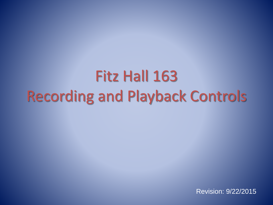# Fitz Hall 163 Recording and Playback Controls

Revision: 9/22/2015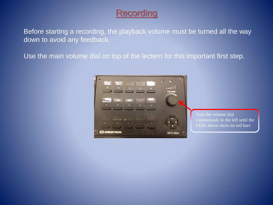# **Recording**

Before starting a recording, the playback volume must be turned all the way down to avoid any feedback.

Use the main volume dial on top of the lectern for this important first step.



Turn the volume dial continuously to the left until the LEDs above show no red bars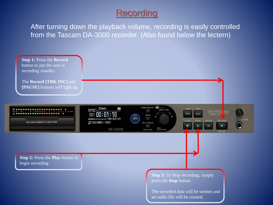# **Recording**

After turning down the playback volume, recording is easily controlled from the Tascam DA-3000 recorder. (Also found below the lectern)

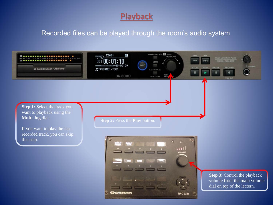### **Playback**

### Recorded files can be played through the room's audio system

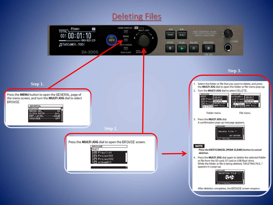# Deleting Files

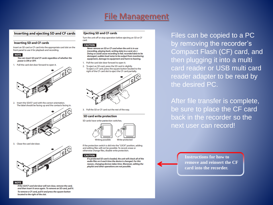### File Management

#### **Inserting and ejecting SD and CF cards**

#### **Inserting SD and CF cards**

Insert an SD card or CF card into the appropriate card slot on the front panel to use it for playback and recording.

#### **NOTE**

You can insert SD and CF cards regardless of whether the power is ON or OFF.

1. Pull the card slot door forward to open it.



2. Insert the SD/CF card with the correct orientation. The label should be facing up and the contacts facing in.



3. Close the card slot door.



**NOTE** 

If the SD/CF card slot door will not close, remove the card, and then insert it once again. To remove an SD card, pull it. To remove a CF card, pull it and press the square button located to the right of the slot.

#### **Ejecting SD and CF cards**

Turn the unit off or stop operation before ejecting an SD or CF card.

#### **CAUTION**

Never remove an SD or CF card when the unit is in use (recording, playing back, writing data to a card, etc.). Doing so could cause recording to fail, recorded data to be damaged, sudden loud noise to be output from monitoring equipment, damage to equipment and harm to hearing.

- 1. Pull the card slot door forward to open it.
- 2. To eject an SD card, press the SD card in slightly. To eject a CF card, press the square button located to the right of the CF card slot to eject the CF card partially.



3. Pull the SD or CF card out the rest of the way.

#### SD card write protection

SD cards have write-protection switches.



If the protection switch is slid into the "LOCK" position, adding and editing files will not be possible. To record, erase or otherwise change files, disable write protection.

**CAUTION** 

If a protected SD card is loaded, the unit will check all of the audio files on it each time the device is changed. For this reason, changing devices takes time. Moreover, editing the playlist and other operations are not possible.

Files can be copied to a PC by removing the recorder's Compact Flash (CF) card, and then plugging it into a multi card reader or USB multi card reader adapter to be read by the desired PC.

After file transfer is complete, be sure to place the CF card back in the recorder so the next user can record!

> **Instructions for how to remove and reinsert the CF card into the recorder.**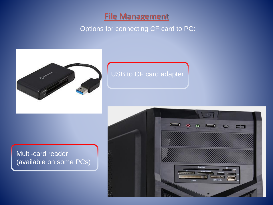### **File Management**

### Options for connecting CF card to PC:



## USB to CF card adapter

### Multi-card reader (available on some PCs)

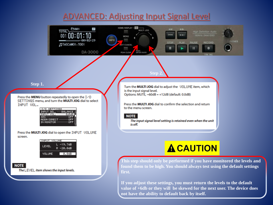### ADVANCED: Adjusting Input Signal Level